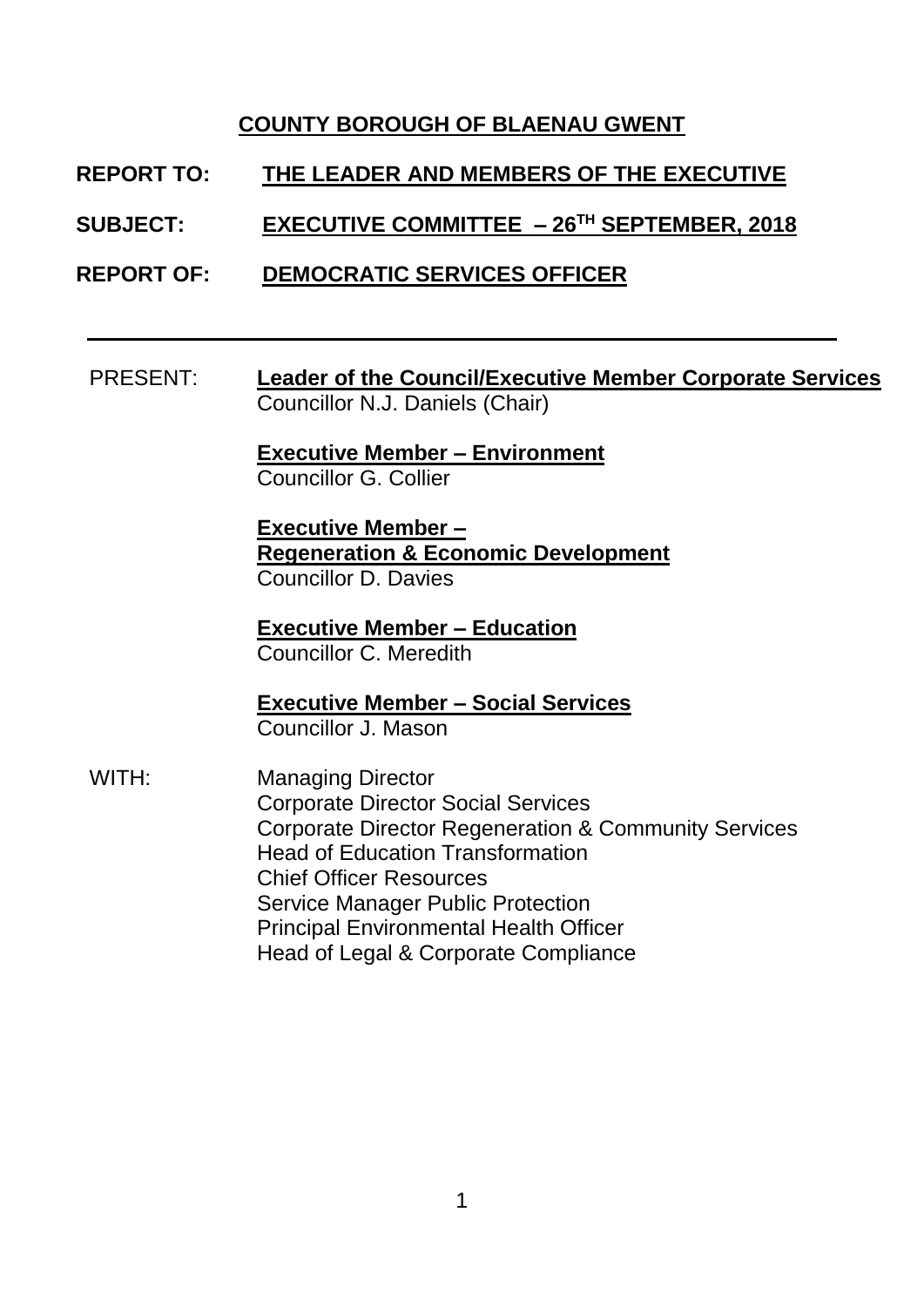## **COUNTY BOROUGH OF BLAENAU GWENT**

**REPORT TO: THE LEADER AND MEMBERS OF THE EXECUTIVE**

**SUBJECT: EXECUTIVE COMMITTEE – 26 TH SEPTEMBER, 2018**

**REPORT OF: DEMOCRATIC SERVICES OFFICER** 

PRESENT: **Leader of the Council/Executive Member Corporate Services** Councillor N.J. Daniels (Chair)

> **Executive Member – Environment** Councillor G. Collier

**Executive Member – Regeneration & Economic Development** Councillor D. Davies

**Executive Member – Education** Councillor C. Meredith

**Executive Member – Social Services** Councillor J. Mason

WITH: Managing Director Corporate Director Social Services Corporate Director Regeneration & Community Services Head of Education Transformation Chief Officer Resources Service Manager Public Protection Principal Environmental Health Officer Head of Legal & Corporate Compliance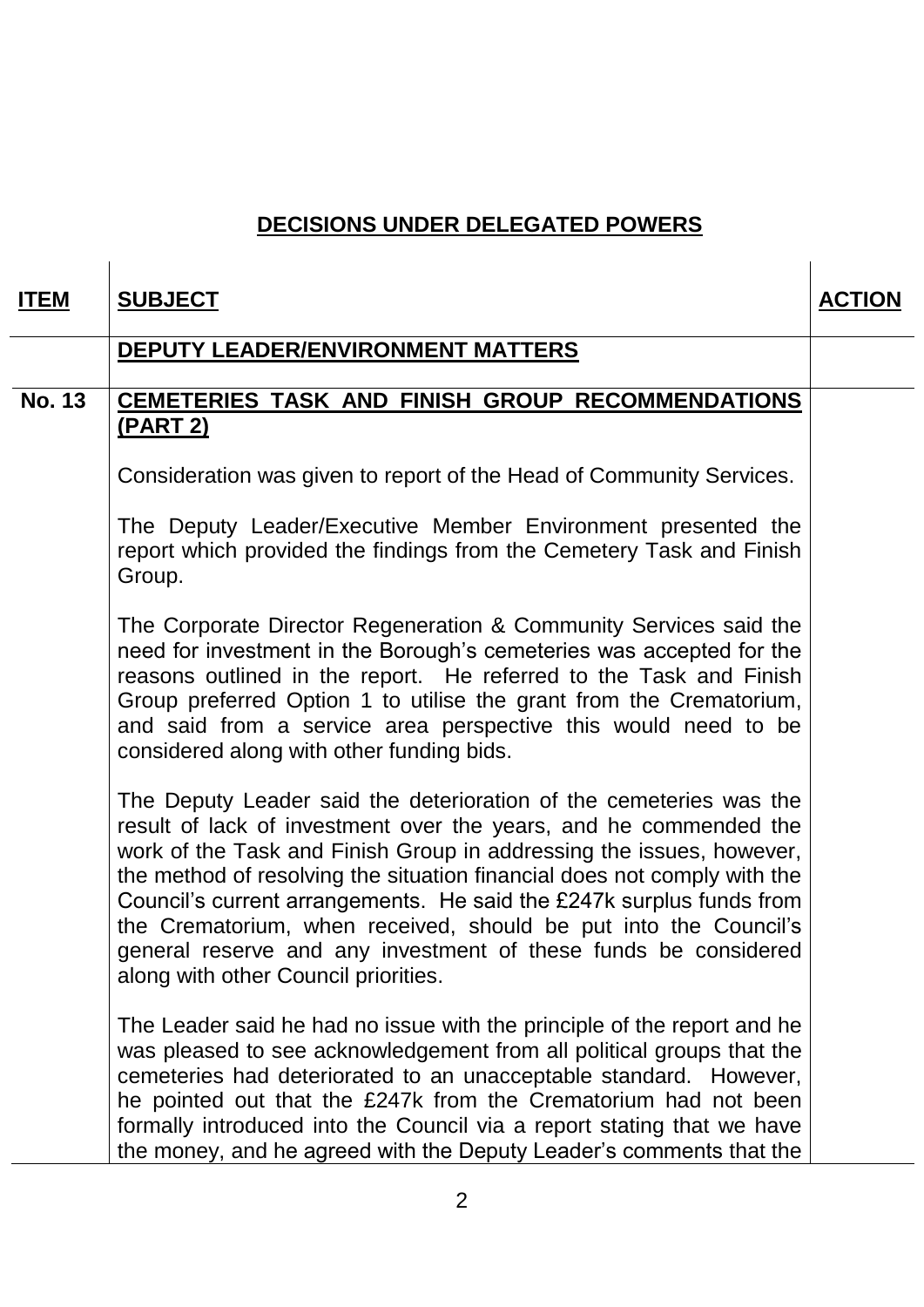## **DECISIONS UNDER DELEGATED POWERS**

| <u>ITEM</u>   | <b>SUBJECT</b>                                                                                                                                                                                                                                                                                                                                                                                                                                                                                                                                     | <b>ACTION</b> |
|---------------|----------------------------------------------------------------------------------------------------------------------------------------------------------------------------------------------------------------------------------------------------------------------------------------------------------------------------------------------------------------------------------------------------------------------------------------------------------------------------------------------------------------------------------------------------|---------------|
|               | <b>DEPUTY LEADER/ENVIRONMENT MATTERS</b>                                                                                                                                                                                                                                                                                                                                                                                                                                                                                                           |               |
| <b>No. 13</b> | CEMETERIES TASK AND FINISH GROUP RECOMMENDATIONS<br><u>(PART 2)</u>                                                                                                                                                                                                                                                                                                                                                                                                                                                                                |               |
|               | Consideration was given to report of the Head of Community Services.                                                                                                                                                                                                                                                                                                                                                                                                                                                                               |               |
|               | The Deputy Leader/Executive Member Environment presented the<br>report which provided the findings from the Cemetery Task and Finish<br>Group.                                                                                                                                                                                                                                                                                                                                                                                                     |               |
|               | The Corporate Director Regeneration & Community Services said the<br>need for investment in the Borough's cemeteries was accepted for the<br>reasons outlined in the report. He referred to the Task and Finish<br>Group preferred Option 1 to utilise the grant from the Crematorium,<br>and said from a service area perspective this would need to be<br>considered along with other funding bids.                                                                                                                                              |               |
|               | The Deputy Leader said the deterioration of the cemeteries was the<br>result of lack of investment over the years, and he commended the<br>work of the Task and Finish Group in addressing the issues, however,<br>the method of resolving the situation financial does not comply with the<br>Council's current arrangements. He said the £247k surplus funds from<br>the Crematorium, when received, should be put into the Council's<br>general reserve and any investment of these funds be considered<br>along with other Council priorities. |               |
|               | The Leader said he had no issue with the principle of the report and he<br>was pleased to see acknowledgement from all political groups that the<br>cemeteries had deteriorated to an unacceptable standard. However,<br>he pointed out that the £247k from the Crematorium had not been<br>formally introduced into the Council via a report stating that we have<br>the money, and he agreed with the Deputy Leader's comments that the                                                                                                          |               |

J.